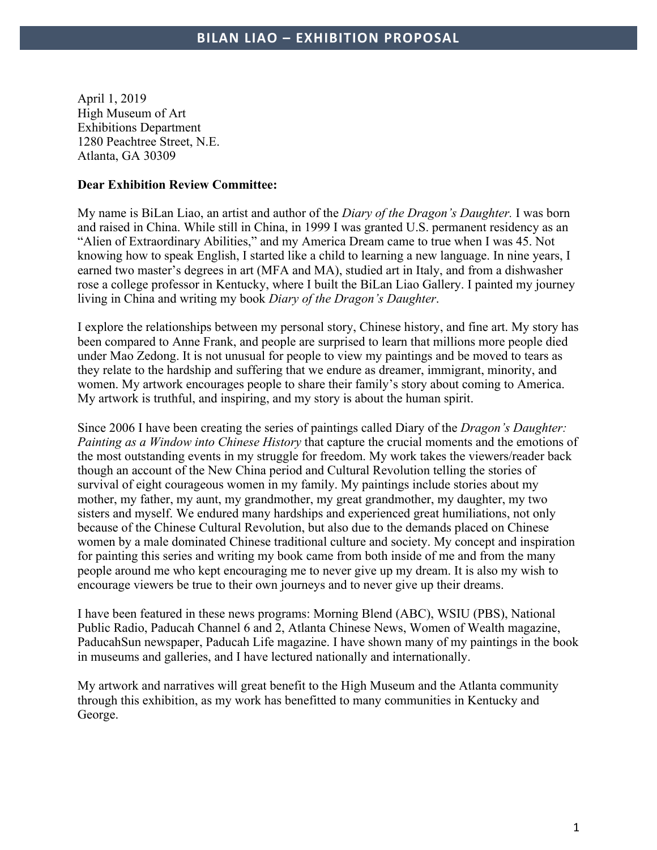April 1, 2019 High Museum of Art Exhibitions Department 1280 Peachtree Street, N.E. Atlanta, GA 30309

### **Dear Exhibition Review Committee:**

My name is BiLan Liao, an artist and author of the *Diary of the Dragon's Daughter.* I was born and raised in China. While still in China, in 1999 I was granted U.S. permanent residency as an "Alien of Extraordinary Abilities," and my America Dream came to true when I was 45. Not knowing how to speak English, I started like a child to learning a new language. In nine years, I earned two master's degrees in art (MFA and MA), studied art in Italy, and from a dishwasher rose a college professor in Kentucky, where I built the BiLan Liao Gallery. I painted my journey living in China and writing my book *Diary of the Dragon's Daughter*.

I explore the relationships between my personal story, Chinese history, and fine art. My story has been compared to Anne Frank, and people are surprised to learn that millions more people died under Mao Zedong. It is not unusual for people to view my paintings and be moved to tears as they relate to the hardship and suffering that we endure as dreamer, immigrant, minority, and women. My artwork encourages people to share their family's story about coming to America. My artwork is truthful, and inspiring, and my story is about the human spirit.

Since 2006 I have been creating the series of paintings called Diary of the *Dragon's Daughter: Painting as a Window into Chinese History* that capture the crucial moments and the emotions of the most outstanding events in my struggle for freedom. My work takes the viewers/reader back though an account of the New China period and Cultural Revolution telling the stories of survival of eight courageous women in my family. My paintings include stories about my mother, my father, my aunt, my grandmother, my great grandmother, my daughter, my two sisters and myself. We endured many hardships and experienced great humiliations, not only because of the Chinese Cultural Revolution, but also due to the demands placed on Chinese women by a male dominated Chinese traditional culture and society. My concept and inspiration for painting this series and writing my book came from both inside of me and from the many people around me who kept encouraging me to never give up my dream. It is also my wish to encourage viewers be true to their own journeys and to never give up their dreams.

I have been featured in these news programs: Morning Blend (ABC), WSIU (PBS), National Public Radio, Paducah Channel 6 and 2, Atlanta Chinese News, Women of Wealth magazine, PaducahSun newspaper, Paducah Life magazine. I have shown many of my paintings in the book in museums and galleries, and I have lectured nationally and internationally.

My artwork and narratives will great benefit to the High Museum and the Atlanta community through this exhibition, as my work has benefitted to many communities in Kentucky and George.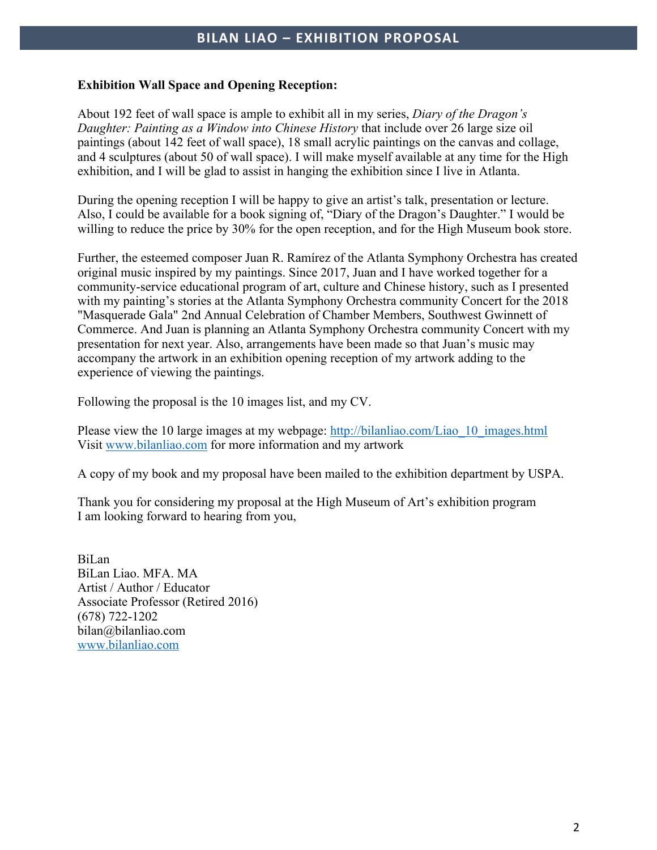## **BILAN LIAO – EXHIBITION PROPOSAL**

### **Exhibition Wall Space and Opening Reception:**

About 192 feet of wall space is ample to exhibit all in my series, *Diary of the Dragon's Daughter: Painting as a Window into Chinese History* that include over 26 large size oil paintings (about 142 feet of wall space), 18 small acrylic paintings on the canvas and collage, and 4 sculptures (about 50 of wall space). I will make myself available at any time for the High exhibition, and I will be glad to assist in hanging the exhibition since I live in Atlanta.

During the opening reception I will be happy to give an artist's talk, presentation or lecture. Also, I could be available for a book signing of, "Diary of the Dragon's Daughter." I would be willing to reduce the price by 30% for the open reception, and for the High Museum book store.

Further, the esteemed composer Juan R. Ramírez of the Atlanta Symphony Orchestra has created original music inspired by my paintings. Since 2017, Juan and I have worked together for a community-service educational program of art, culture and Chinese history, such as I presented with my painting's stories at the Atlanta Symphony Orchestra community Concert for the 2018 "Masquerade Gala" 2nd Annual Celebration of Chamber Members, Southwest Gwinnett of Commerce. And Juan is planning an Atlanta Symphony Orchestra community Concert with my presentation for next year. Also, arrangements have been made so that Juan's music may accompany the artwork in an exhibition opening reception of my artwork adding to the experience of viewing the paintings.

Following the proposal is the 10 images list, and my CV.

Please view the 10 large images at my webpage: http://bilanliao.com/Liao 10 images.html Visit www.bilanliao.com for more information and my artwork

A copy of my book and my proposal have been mailed to the exhibition department by USPA.

Thank you for considering my proposal at the High Museum of Art's exhibition program I am looking forward to hearing from you,

BiLan BiLan Liao. MFA. MA Artist / Author / Educator Associate Professor (Retired 2016) (678) 722-1202 bilan@bilanliao.com www.bilanliao.com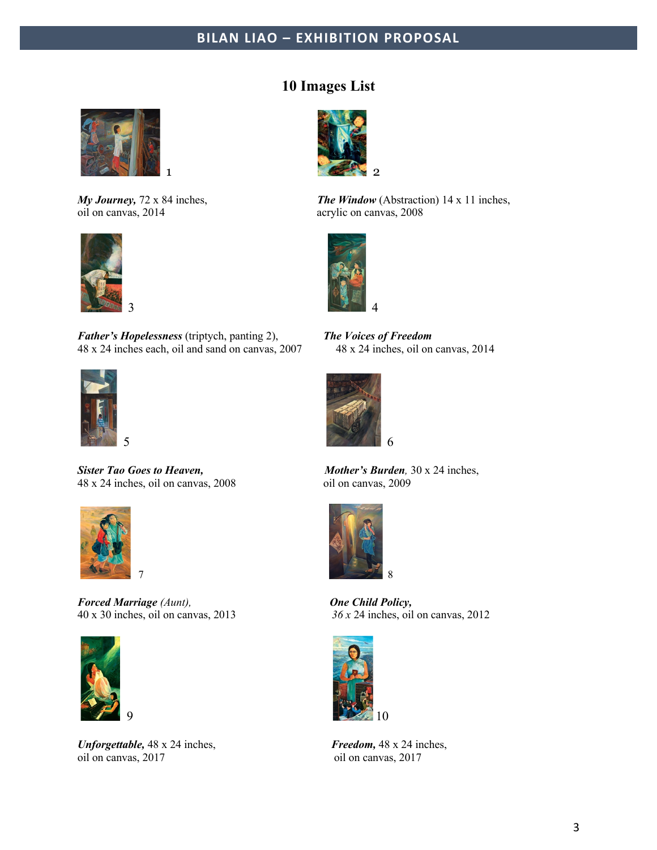# **BILAN LIAO – EXHIBITION PROPOSAL**



oil on canvas, 2014 acrylic on canvas, 2008



*Father's Hopelessness* (triptych, panting 2), *The Voices of Freedom*  48 x 24 inches each, oil and sand on canvas, 2007 48 x 24 inches, oil on canvas, 2014



*Sister Tao Goes to Heaven, Mother's Burden,* 30 x 24 inches, 48 x 24 inches, oil on canvas, 2008 oil on canvas, 2009



*Forced Marriage (Aunt), One Child Policy,* 



*Unforgettable,* 48 x 24 inches, *Freedom,* 48 x 24 inches, oil on canvas, 2017 oil on canvas, 2017

## **10 Images List**



*My Journey, 72 x 84 inches, The Window (Abstraction) 14 x 11 inches,* 







40 x 30 inches, oil on canvas, 2013 *36 x* 24 inches, oil on canvas, 2012

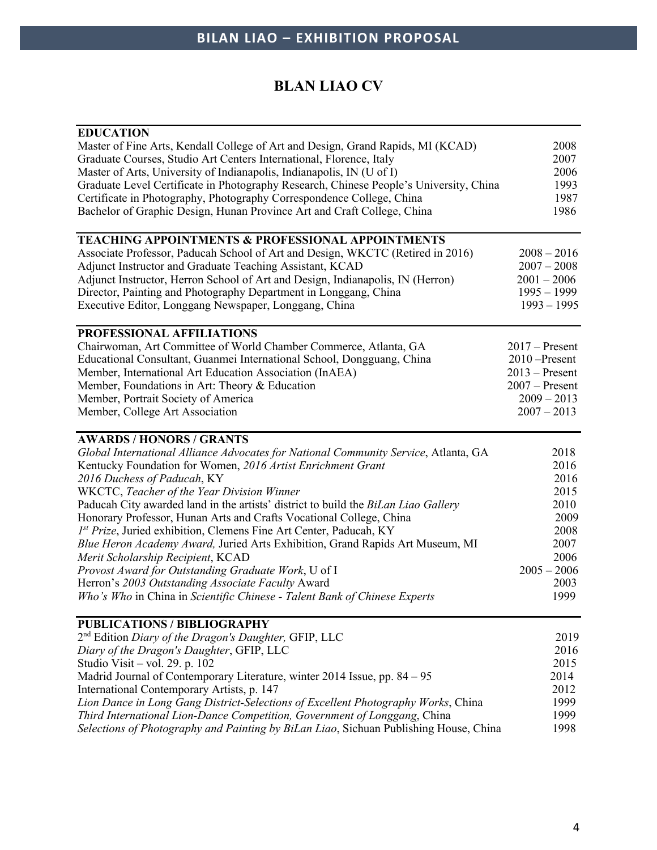# **BLAN LIAO CV**

| <b>EDUCATION</b>                                                                       |                  |
|----------------------------------------------------------------------------------------|------------------|
| Master of Fine Arts, Kendall College of Art and Design, Grand Rapids, MI (KCAD)        | 2008             |
| Graduate Courses, Studio Art Centers International, Florence, Italy                    | 2007             |
| Master of Arts, University of Indianapolis, Indianapolis, IN (U of I)                  | 2006             |
| Graduate Level Certificate in Photography Research, Chinese People's University, China | 1993             |
| Certificate in Photography, Photography Correspondence College, China                  | 1987             |
| Bachelor of Graphic Design, Hunan Province Art and Craft College, China                | 1986             |
|                                                                                        |                  |
| <b>TEACHING APPOINTMENTS &amp; PROFESSIONAL APPOINTMENTS</b>                           |                  |
| Associate Professor, Paducah School of Art and Design, WKCTC (Retired in 2016)         | $2008 - 2016$    |
| Adjunct Instructor and Graduate Teaching Assistant, KCAD                               | $2007 - 2008$    |
| Adjunct Instructor, Herron School of Art and Design, Indianapolis, IN (Herron)         | $2001 - 2006$    |
| Director, Painting and Photography Department in Longgang, China                       | $1995 - 1999$    |
| Executive Editor, Longgang Newspaper, Longgang, China                                  | $1993 - 1995$    |
| PROFESSIONAL AFFILIATIONS                                                              |                  |
| Chairwoman, Art Committee of World Chamber Commerce, Atlanta, GA                       | $2017$ – Present |
| Educational Consultant, Guanmei International School, Dongguang, China                 | $2010$ -Present  |
| Member, International Art Education Association (InAEA)                                | $2013$ – Present |
| Member, Foundations in Art: Theory & Education                                         | $2007 -$ Present |
| Member, Portrait Society of America                                                    | $2009 - 2013$    |
| Member, College Art Association                                                        | $2007 - 2013$    |
|                                                                                        |                  |
| <b>AWARDS / HONORS / GRANTS</b>                                                        |                  |
| Global International Alliance Advocates for National Community Service, Atlanta, GA    | 2018             |
| Kentucky Foundation for Women, 2016 Artist Enrichment Grant                            | 2016             |
| 2016 Duchess of Paducah, KY                                                            | 2016             |
| WKCTC, Teacher of the Year Division Winner                                             | 2015             |
| Paducah City awarded land in the artists' district to build the BiLan Liao Gallery     | 2010             |
| Honorary Professor, Hunan Arts and Crafts Vocational College, China                    | 2009             |
| 1st Prize, Juried exhibition, Clemens Fine Art Center, Paducah, KY                     | 2008             |
| Blue Heron Academy Award, Juried Arts Exhibition, Grand Rapids Art Museum, MI          | 2007             |
| Merit Scholarship Recipient, KCAD                                                      | 2006             |
| Provost Award for Outstanding Graduate Work, U of I                                    | $2005 - 2006$    |
| Herron's 2003 Outstanding Associate Faculty Award                                      | 2003             |
| Who's Who in China in Scientific Chinese - Talent Bank of Chinese Experts              | 1999             |
|                                                                                        |                  |
| <b>PUBLICATIONS / BIBLIOGRAPHY</b>                                                     |                  |
| $2nd$ Edition <i>Diary of the Dragon's Daughter</i> , GFIP, LLC                        | 2019             |
| Diary of the Dragon's Daughter, GFIP, LLC                                              | 2016             |
| Studio Visit - vol. 29. p. 102                                                         | 2015             |
| Madrid Journal of Contemporary Literature, winter 2014 Issue, pp. 84 – 95              | 2014             |
| International Contemporary Artists, p. 147                                             | 2012             |
| Lion Dance in Long Gang District-Selections of Excellent Photography Works, China      | 1999             |
| Third International Lion-Dance Competition, Government of Longgang, China              | 1999             |
| Selections of Photography and Painting by BiLan Liao, Sichuan Publishing House, China  | 1998             |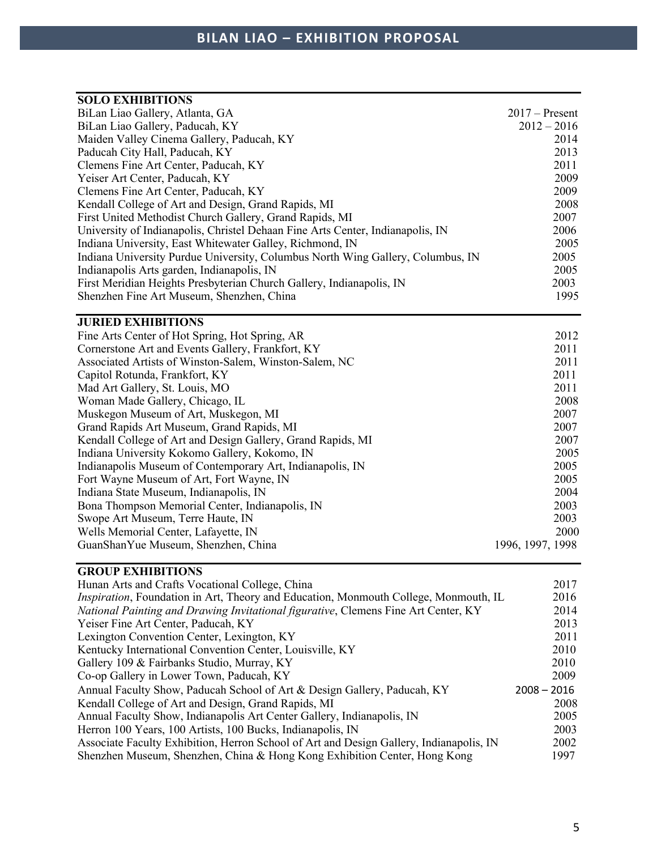| <b>SOLO EXHIBITIONS</b>                                                         |                  |
|---------------------------------------------------------------------------------|------------------|
| BiLan Liao Gallery, Atlanta, GA                                                 | $2017 -$ Present |
| BiLan Liao Gallery, Paducah, KY                                                 | $2012 - 2016$    |
| Maiden Valley Cinema Gallery, Paducah, KY                                       | 2014             |
| Paducah City Hall, Paducah, KY                                                  | 2013             |
| Clemens Fine Art Center, Paducah, KY                                            | 2011             |
| Yeiser Art Center, Paducah, KY                                                  | 2009             |
| Clemens Fine Art Center, Paducah, KY                                            | 2009             |
| Kendall College of Art and Design, Grand Rapids, MI                             | 2008             |
| First United Methodist Church Gallery, Grand Rapids, MI                         | 2007             |
| University of Indianapolis, Christel Dehaan Fine Arts Center, Indianapolis, IN  | 2006             |
| Indiana University, East Whitewater Galley, Richmond, IN                        | 2005             |
| Indiana University Purdue University, Columbus North Wing Gallery, Columbus, IN | 2005             |
| Indianapolis Arts garden, Indianapolis, IN                                      | 2005             |
| First Meridian Heights Presbyterian Church Gallery, Indianapolis, IN            | 2003             |
| Shenzhen Fine Art Museum, Shenzhen, China                                       | 1995             |
| <b>JURIED EXHIBITIONS</b>                                                       |                  |
| Fine Arts Center of Hot Spring, Hot Spring, AR                                  | 2012             |
| Cornerstone Art and Events Gallery, Frankfort, KY                               | 2011             |
| Associated Artists of Winston-Salem, Winston-Salem, NC                          | 2011             |
| Capitol Rotunda, Frankfort, KY                                                  | 2011             |
| Mad Art Gallery, St. Louis, MO                                                  | 2011             |
| Woman Made Gallery, Chicago, IL                                                 | 2008             |
| Muskegon Museum of Art, Muskegon, MI                                            | 2007             |
| Grand Rapids Art Museum, Grand Rapids, MI                                       | 2007             |
| Kendall College of Art and Design Gallery, Grand Rapids, MI                     | 2007             |
| Indiana University Kokomo Gallery, Kokomo, IN                                   | 2005             |
| Indianapolis Museum of Contemporary Art, Indianapolis, IN                       | 2005             |
| Fort Wayne Museum of Art, Fort Wayne, IN                                        | 2005             |
| Indiana State Museum, Indianapolis, IN                                          | 2004             |
| Bona Thompson Memorial Center, Indianapolis, IN                                 | 2003             |
| Swope Art Museum, Terre Haute, IN                                               | 2003             |
| Wells Memorial Center, Lafayette, IN                                            | 2000             |
| GuanShanYue Museum, Shenzhen, China                                             | 1996, 1997, 1998 |
|                                                                                 |                  |

## **GROUP EXHIBITIONS**

| Hunan Arts and Crafts Vocational College, China                                              | 2017          |
|----------------------------------------------------------------------------------------------|---------------|
| <i>Inspiration</i> , Foundation in Art, Theory and Education, Monmouth College, Monmouth, IL | 2016          |
| National Painting and Drawing Invitational figurative, Clemens Fine Art Center, KY           | 2014          |
| Yeiser Fine Art Center, Paducah, KY                                                          | 2013          |
| Lexington Convention Center, Lexington, KY                                                   | 2011          |
| Kentucky International Convention Center, Louisville, KY                                     | 2010          |
| Gallery 109 & Fairbanks Studio, Murray, KY                                                   | 2010          |
| Co-op Gallery in Lower Town, Paducah, KY                                                     | 2009          |
| Annual Faculty Show, Paducah School of Art & Design Gallery, Paducah, KY                     | $2008 - 2016$ |
| Kendall College of Art and Design, Grand Rapids, MI                                          | 2008          |
| Annual Faculty Show, Indianapolis Art Center Gallery, Indianapolis, IN                       | 2005          |
| Herron 100 Years, 100 Artists, 100 Bucks, Indianapolis, IN                                   | 2003          |
| Associate Faculty Exhibition, Herron School of Art and Design Gallery, Indianapolis, IN      | 2002          |
| Shenzhen Museum, Shenzhen, China & Hong Kong Exhibition Center, Hong Kong                    | 1997          |